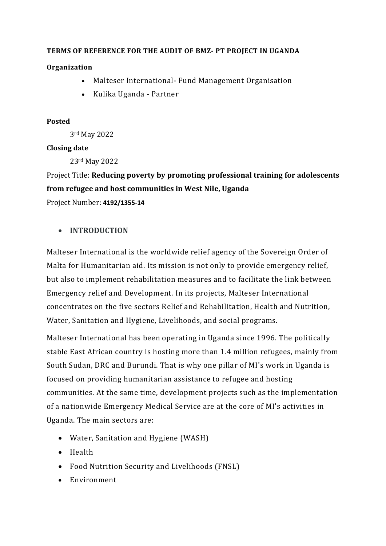### **TERMS OF REFERENCE FOR THE AUDIT OF BMZ- PT PROJECT IN UGANDA**

### **Organization**

- Malteser International- Fund Management Organisation
- Kulika Uganda Partner

### **Posted**

3rd May 2022

#### **Closing date**

23rd May 2022

Project Title: **Reducing poverty by promoting professional training for adolescents from refugee and host communities in West Nile, Uganda**  Project Number: **4192/1355-14**

### • **INTRODUCTION**

Malteser International is the worldwide relief agency of the Sovereign Order of Malta for Humanitarian aid. Its mission is not only to provide emergency relief, but also to implement rehabilitation measures and to facilitate the link between Emergency relief and Development. In its projects, Malteser International concentrates on the five sectors Relief and Rehabilitation, Health and Nutrition, Water, Sanitation and Hygiene, Livelihoods, and social programs.

Malteser International has been operating in Uganda since 1996. The politically stable East African country is hosting more than 1.4 million refugees, mainly from South Sudan, DRC and Burundi. That is why one pillar of MI's work in Uganda is focused on providing humanitarian assistance to refugee and hosting communities. At the same time, development projects such as the implementation of a nationwide Emergency Medical Service are at the core of MI's activities in Uganda. The main sectors are:

- Water, Sanitation and Hygiene (WASH)
- Health
- Food Nutrition Security and Livelihoods (FNSL)
- Environment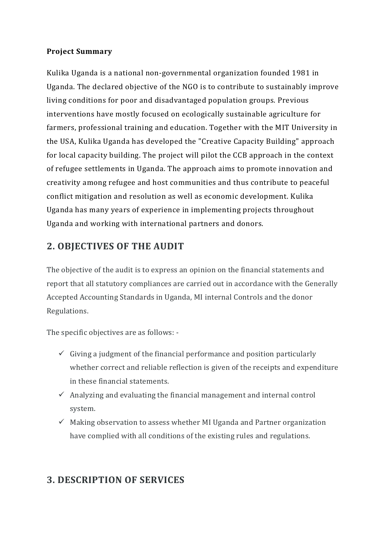## **Project Summary**

Kulika Uganda is a national non-governmental organization founded 1981 in Uganda. The declared objective of the NGO is to contribute to sustainably improve living conditions for poor and disadvantaged population groups. Previous interventions have mostly focused on ecologically sustainable agriculture for farmers, professional training and education. Together with the MIT University in the USA, Kulika Uganda has developed the "Creative Capacity Building" approach for local capacity building. The project will pilot the CCB approach in the context of refugee settlements in Uganda. The approach aims to promote innovation and creativity among refugee and host communities and thus contribute to peaceful conflict mitigation and resolution as well as economic development. Kulika Uganda has many years of experience in implementing projects throughout Uganda and working with international partners and donors.

## **2. OBJECTIVES OF THE AUDIT**

The objective of the audit is to express an opinion on the financial statements and report that all statutory compliances are carried out in accordance with the Generally Accepted Accounting Standards in Uganda, MI internal Controls and the donor Regulations.

The specific objectives are as follows: -

- $\checkmark$  Giving a judgment of the financial performance and position particularly whether correct and reliable reflection is given of the receipts and expenditure in these financial statements.
- $\checkmark$  Analyzing and evaluating the financial management and internal control system.
- $\checkmark$  Making observation to assess whether MI Uganda and Partner organization have complied with all conditions of the existing rules and regulations.

## **3. DESCRIPTION OF SERVICES**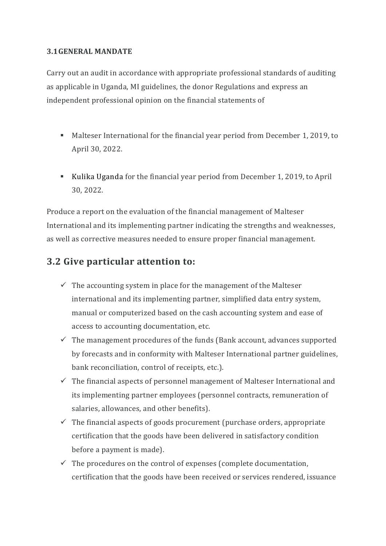### **3.1GENERAL MANDATE**

Carry out an audit in accordance with appropriate professional standards of auditing as applicable in Uganda, MI guidelines, the donor Regulations and express an independent professional opinion on the financial statements of

- Malteser International for the financial year period from December 1, 2019, to April 30, 2022.
- Kulika Uganda for the financial year period from December 1, 2019, to April 30, 2022.

Produce a report on the evaluation of the financial management of Malteser International and its implementing partner indicating the strengths and weaknesses, as well as corrective measures needed to ensure proper financial management.

## **3.2 Give particular attention to:**

- $\checkmark$  The accounting system in place for the management of the Malteser international and its implementing partner, simplified data entry system, manual or computerized based on the cash accounting system and ease of access to accounting documentation, etc.
- $\checkmark$  The management procedures of the funds (Bank account, advances supported by forecasts and in conformity with Malteser International partner guidelines, bank reconciliation, control of receipts, etc.).
- $\checkmark$  The financial aspects of personnel management of Malteser International and its implementing partner employees (personnel contracts, remuneration of salaries, allowances, and other benefits).
- $\checkmark$  The financial aspects of goods procurement (purchase orders, appropriate certification that the goods have been delivered in satisfactory condition before a payment is made).
- $\checkmark$  The procedures on the control of expenses (complete documentation, certification that the goods have been received or services rendered, issuance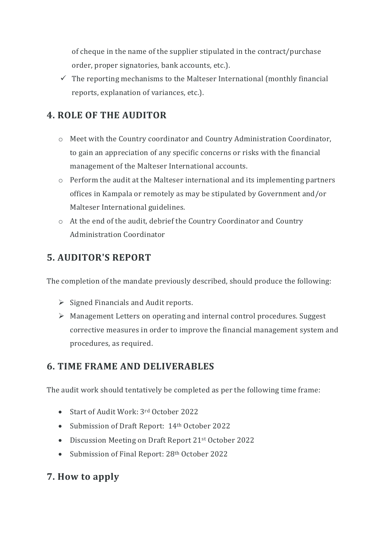of cheque in the name of the supplier stipulated in the contract/purchase order, proper signatories, bank accounts, etc.).

 $\checkmark$  The reporting mechanisms to the Malteser International (monthly financial reports, explanation of variances, etc.).

# **4. ROLE OF THE AUDITOR**

- o Meet with the Country coordinator and Country Administration Coordinator, to gain an appreciation of any specific concerns or risks with the financial management of the Malteser International accounts.
- o Perform the audit at the Malteser international and its implementing partners offices in Kampala or remotely as may be stipulated by Government and/or Malteser International guidelines.
- o At the end of the audit, debrief the Country Coordinator and Country Administration Coordinator

# **5. AUDITOR'S REPORT**

The completion of the mandate previously described, should produce the following:

- $\triangleright$  Signed Financials and Audit reports.
- Management Letters on operating and internal control procedures. Suggest corrective measures in order to improve the financial management system and procedures, as required.

# **6. TIME FRAME AND DELIVERABLES**

The audit work should tentatively be completed as per the following time frame:

- Start of Audit Work: 3rd October 2022
- Submission of Draft Report: 14th October 2022
- Discussion Meeting on Draft Report 21<sup>st</sup> October 2022
- Submission of Final Report: 28<sup>th</sup> October 2022

# **7. How to apply**